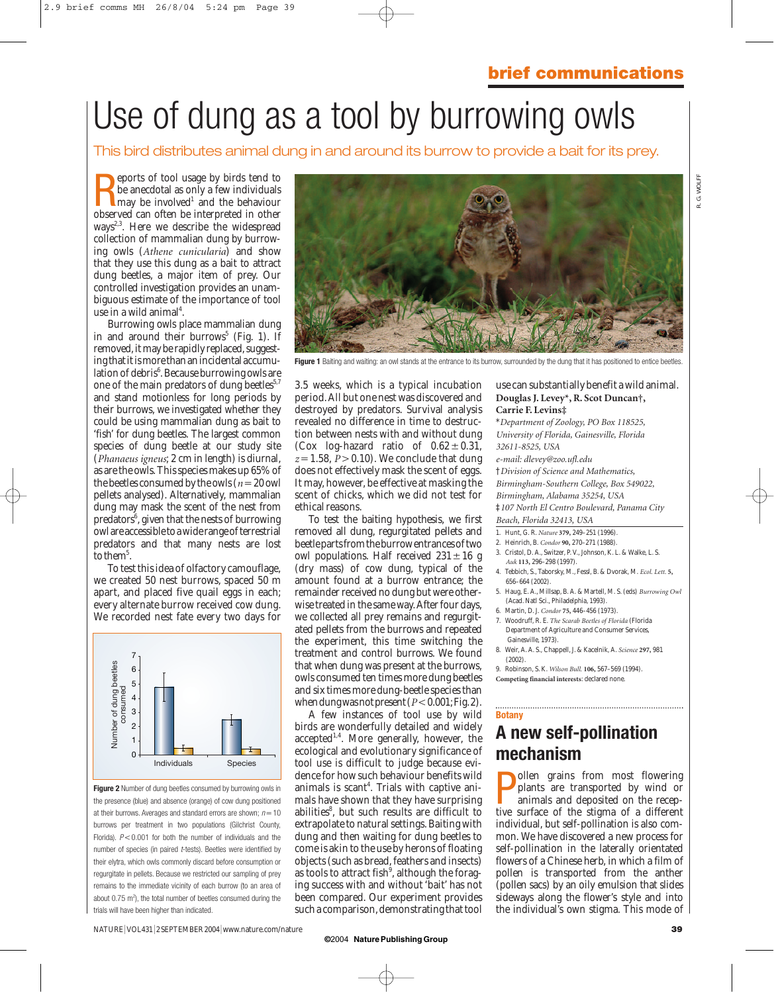# Use of dung as a tool by burrowing owls

This bird distributes animal dung in and around its burrow to provide a bait for its prey.

**Example 18** eports of tool usage by birds tend to be anecdotal as only a few individuals may be involved<sup>1</sup> and the behaviour observed can often be interpreted in other eports of tool usage by birds tend to be anecdotal as only a few individuals  $\blacksquare$  may be involved<sup>1</sup> and the behaviour ways<sup>2,3</sup>. Here we describe the widespread collection of mammalian dung by burrowing owls (*Athene cunicularia*) and show that they use this dung as a bait to attract dung beetles, a major item of prey. Our controlled investigation provides an unambiguous estimate of the importance of tool use in a wild animal<sup>4</sup>.

Burrowing owls place mammalian dung in and around their burrows<sup>5</sup> (Fig. 1). If removed, it may be rapidly replaced, suggesting that it is more than an incidental accumulation of debris<sup>6</sup>. Because burrowing owls are one of the main predators of dung beetles $5.7$ and stand motionless for long periods by their burrows, we investigated whether they could be using mammalian dung as bait to 'fish' for dung beetles. The largest common species of dung beetle at our study site (*Phanaeus igneus*; 2 cm in length) is diurnal, as are the owls. This species makes up 65% of the beetles consumed by the owls  $(n=20)$  owl pellets analysed). Alternatively, mammalian dung may mask the scent of the nest from predators<sup>6</sup>, given that the nests of burrowing owl are accessible to a wide range of terrestrial predators and that many nests are lost to the $m^5$ .

To test this idea of olfactory camouflage, we created 50 nest burrows, spaced 50 m apart, and placed five quail eggs in each; every alternate burrow received cow dung. We recorded nest fate every two days for



**Figure 2** Number of dung beetles consumed by burrowing owls in the presence (blue) and absence (orange) of cow dung positioned at their burrows. Averages and standard errors are shown;  $n = 10$ burrows per treatment in two populations (Gilchrist County, Florida).  $P < 0.001$  for both the number of individuals and the number of species (in paired *t*-tests). Beetles were identified by their elytra, which owls commonly discard before consumption or regurgitate in pellets. Because we restricted our sampling of prey remains to the immediate vicinity of each burrow (to an area of about  $0.75$  m<sup>2</sup>), the total number of beetles consumed during the trials will have been higher than indicated.



Figure 1 Baiting and waiting: an owl stands at the entrance to its burrow, surrounded by the dung that it has positioned to entice beetles

3.5 weeks, which is a typical incubation period. All but one nest was discovered and destroyed by predators. Survival analysis revealed no difference in time to destruction between nests with and without dung (Cox log-hazard ratio of  $0.62 \pm 0.31$ ,  $z=1.58$ ,  $\bar{P}$  > 0.10). We conclude that dung does not effectively mask the scent of eggs. It may, however, be effective at masking the scent of chicks, which we did not test for ethical reasons.

To test the baiting hypothesis, we first removed all dung, regurgitated pellets and beetle parts from the burrow entrances of two owl populations. Half received  $231 \pm 16$  g (dry mass) of cow dung, typical of the amount found at a burrow entrance; the remainder received no dung but were otherwise treated in the same way. After four days, we collected all prey remains and regurgitated pellets from the burrows and repeated the experiment, this time switching the treatment and control burrows. We found that when dung was present at the burrows, owls consumed ten times more dung beetles and six times more dung-beetle species than when dung was not present  $(P<0.001;$  Fig. 2).

A few instances of tool use by wild birds are wonderfully detailed and widely accepted<sup>1,4</sup>. More generally, however, the ecological and evolutionary significance of tool use is difficult to judge because evidence for how such behaviour benefits wild animals is scant $^4$ . Trials with captive animals have shown that they have surprising abilities<sup>8</sup>, but such results are difficult to extrapolate to natural settings. Baiting with dung and then waiting for dung beetles to come is akin to the use by herons of floating objects (such as bread, feathers and insects) as tools to attract fish $9$ , although the foraging success with and without 'bait' has not been compared. Our experiment provides such a comparison, demonstrating that tool

use can substantially benefit a wild animal. **Douglas J. Levey\*, R. Scot Duncan†, Carrie F. Levins‡**

\**Department of Zoology, PO Box 118525, University of Florida, Gainesville, Florida 32611-8525, USA e-mail: dlevey@zoo.ufl.edu* †*Division of Science and Mathematics, Birmingham-Southern College, Box 549022, Birmingham, Alabama 35254, USA* ‡*107 North El Centro Boulevard, Panama City*

*Beach, Florida 32413, USA*

- 1. Hunt, G. R. *Nature* **379,** 249–251 (1996).
- 2. Heinrich, B. *Condor* **90,** 270–271 (1988).
- 3. Cristol, D. A., Switzer, P. V., Johnson, K. L. & Walke, L. S. *Auk* **113,** 296–298 (1997).
- 4. Tebbich, S., Taborsky, M., Fessl, B. & Dvorak, M. *Ecol. Lett.* **5,** 656–664 (2002).
- 5. Haug, E. A., Millsap, B. A. & Martell, M. S. (eds) *Burrowing Owl* (Acad. Natl Sci., Philadelphia, 1993).
- 6. Martin, D. J. *Condor* **75,** 446–456 (1973).
- 7. Woodruff, R. E. *The Scarab Beetles of Florida* (Florida Department of Agriculture and Consumer Services, Gainesville, 1973).
- 8. Weir, A. A. S., Chappell, J. & Kacelnik, A. *Science* **297,** 981  $(2002)$
- 9. Robinson, S. K. *Wilson Bull.* **106,** 567–569 (1994).

**Competing financial interests**: declared none.

### **Botany**

## **A new self-pollination mechanism**

**P** plants are transported by wind or animals and deposited on the receptive surface of the stigma of a different ollen grains from most flowering plants are transported by wind or animals and deposited on the recepindividual, but self-pollination is also common. We have discovered a new process for self-pollination in the laterally orientated flowers of a Chinese herb, in which a film of pollen is transported from the anther (pollen sacs) by an oily emulsion that slides sideways along the flower's style and into the individual's own stigma. This mode of